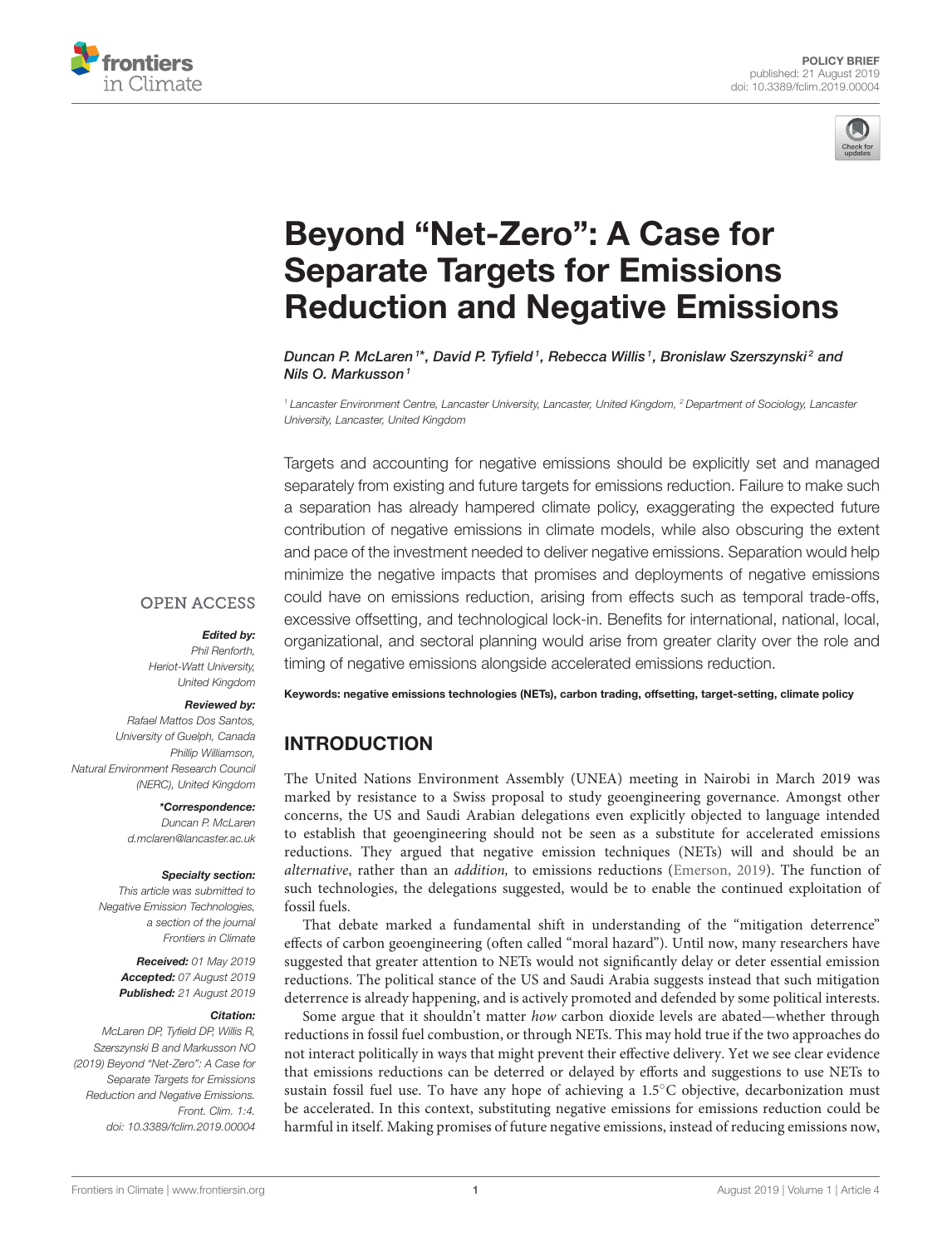



# Beyond "Net-Zero": A Case for Separate Targets for Emissions [Reduction and Negative Emissions](https://www.frontiersin.org/articles/10.3389/fclim.2019.00004/full)

[Duncan P. McLaren](http://loop.frontiersin.org/people/729889/overview)1\*, [David P. Tyfield](http://loop.frontiersin.org/people/714548/overview)1, Rebecca Willis1, [Bronislaw Szerszynski](http://loop.frontiersin.org/people/778971/overview)<sup>2</sup> and [Nils O. Markusson](http://loop.frontiersin.org/people/689505/overview)<sup>1</sup>

<sup>1</sup> Lancaster Environment Centre, Lancaster University, Lancaster, United Kingdom, <sup>2</sup> Department of Sociology, Lancaster University, Lancaster, United Kingdom

Targets and accounting for negative emissions should be explicitly set and managed separately from existing and future targets for emissions reduction. Failure to make such a separation has already hampered climate policy, exaggerating the expected future contribution of negative emissions in climate models, while also obscuring the extent and pace of the investment needed to deliver negative emissions. Separation would help minimize the negative impacts that promises and deployments of negative emissions could have on emissions reduction, arising from effects such as temporal trade-offs, excessive offsetting, and technological lock-in. Benefits for international, national, local, organizational, and sectoral planning would arise from greater clarity over the role and timing of negative emissions alongside accelerated emissions reduction.

#### **OPEN ACCESS**

#### Edited by:

Phil Renforth, Heriot-Watt University, United Kingdom

#### Reviewed by:

Rafael Mattos Dos Santos, University of Guelph, Canada Phillip Williamson, Natural Environment Research Council (NERC), United Kingdom

> \*Correspondence: Duncan P. McLaren [d.mclaren@lancaster.ac.uk](mailto:d.mclaren@lancaster.ac.uk)

#### Specialty section:

This article was submitted to Negative Emission Technologies, a section of the journal Frontiers in Climate

> Received: 01 May 2019 Accepted: 07 August 2019 Published: 21 August 2019

#### Citation:

McLaren DP, Tyfield DP, Willis R, Szerszynski B and Markusson NO (2019) Beyond "Net-Zero": A Case for Separate Targets for Emissions Reduction and Negative Emissions. Front. Clim. 1:4. doi: [10.3389/fclim.2019.00004](https://doi.org/10.3389/fclim.2019.00004) Keywords: negative emissions technologies (NETs), carbon trading, offsetting, target-setting, climate policy

### INTRODUCTION

The United Nations Environment Assembly (UNEA) meeting in Nairobi in March 2019 was marked by resistance to a Swiss proposal to study geoengineering governance. Amongst other concerns, the US and Saudi Arabian delegations even explicitly objected to language intended to establish that geoengineering should not be seen as a substitute for accelerated emissions reductions. They argued that negative emission techniques (NETs) will and should be an alternative, rather than an addition, to emissions reductions [\(Emerson, 2019\)](#page-4-0). The function of such technologies, the delegations suggested, would be to enable the continued exploitation of fossil fuels.

That debate marked a fundamental shift in understanding of the "mitigation deterrence" effects of carbon geoengineering (often called "moral hazard"). Until now, many researchers have suggested that greater attention to NETs would not significantly delay or deter essential emission reductions. The political stance of the US and Saudi Arabia suggests instead that such mitigation deterrence is already happening, and is actively promoted and defended by some political interests.

Some argue that it shouldn't matter how carbon dioxide levels are abated—whether through reductions in fossil fuel combustion, or through NETs. This may hold true if the two approaches do not interact politically in ways that might prevent their effective delivery. Yet we see clear evidence that emissions reductions can be deterred or delayed by efforts and suggestions to use NETs to sustain fossil fuel use. To have any hope of achieving a 1.5℃ objective, decarbonization must be accelerated. In this context, substituting negative emissions for emissions reduction could be harmful in itself. Making promises of future negative emissions, instead of reducing emissions now,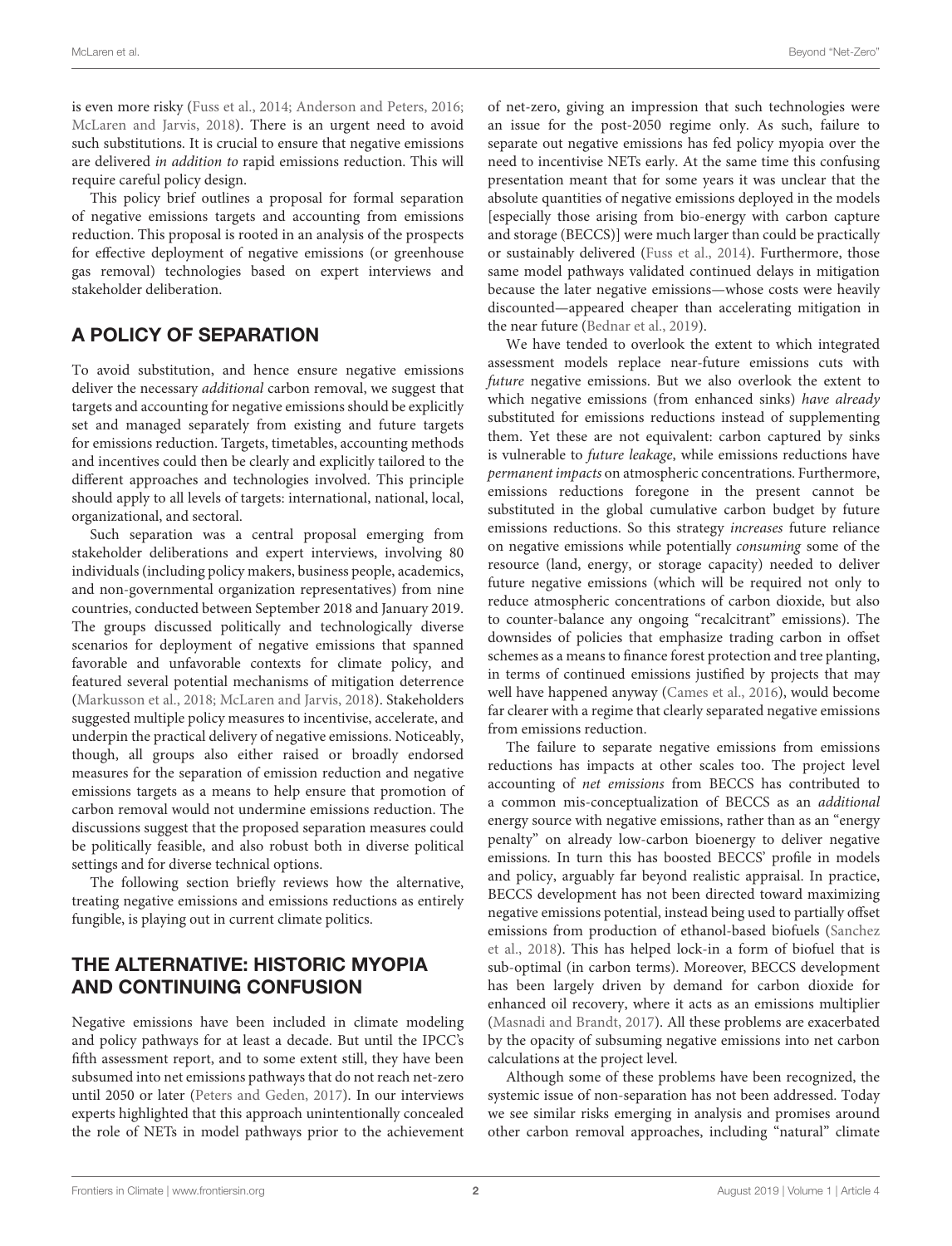is even more risky [\(Fuss et al., 2014;](#page-4-1) [Anderson and Peters, 2016;](#page-4-2) [McLaren and Jarvis, 2018\)](#page-4-3). There is an urgent need to avoid such substitutions. It is crucial to ensure that negative emissions are delivered in addition to rapid emissions reduction. This will require careful policy design.

This policy brief outlines a proposal for formal separation of negative emissions targets and accounting from emissions reduction. This proposal is rooted in an analysis of the prospects for effective deployment of negative emissions (or greenhouse gas removal) technologies based on expert interviews and stakeholder deliberation.

# A POLICY OF SEPARATION

To avoid substitution, and hence ensure negative emissions deliver the necessary additional carbon removal, we suggest that targets and accounting for negative emissions should be explicitly set and managed separately from existing and future targets for emissions reduction. Targets, timetables, accounting methods and incentives could then be clearly and explicitly tailored to the different approaches and technologies involved. This principle should apply to all levels of targets: international, national, local, organizational, and sectoral.

Such separation was a central proposal emerging from stakeholder deliberations and expert interviews, involving 80 individuals (including policy makers, business people, academics, and non-governmental organization representatives) from nine countries, conducted between September 2018 and January 2019. The groups discussed politically and technologically diverse scenarios for deployment of negative emissions that spanned favorable and unfavorable contexts for climate policy, and featured several potential mechanisms of mitigation deterrence [\(Markusson et al., 2018;](#page-4-4) [McLaren and Jarvis, 2018\)](#page-4-3). Stakeholders suggested multiple policy measures to incentivise, accelerate, and underpin the practical delivery of negative emissions. Noticeably, though, all groups also either raised or broadly endorsed measures for the separation of emission reduction and negative emissions targets as a means to help ensure that promotion of carbon removal would not undermine emissions reduction. The discussions suggest that the proposed separation measures could be politically feasible, and also robust both in diverse political settings and for diverse technical options.

The following section briefly reviews how the alternative, treating negative emissions and emissions reductions as entirely fungible, is playing out in current climate politics.

## THE ALTERNATIVE: HISTORIC MYOPIA AND CONTINUING CONFUSION

Negative emissions have been included in climate modeling and policy pathways for at least a decade. But until the IPCC's fifth assessment report, and to some extent still, they have been subsumed into net emissions pathways that do not reach net-zero until 2050 or later [\(Peters and Geden, 2017\)](#page-4-5). In our interviews experts highlighted that this approach unintentionally concealed the role of NETs in model pathways prior to the achievement of net-zero, giving an impression that such technologies were an issue for the post-2050 regime only. As such, failure to separate out negative emissions has fed policy myopia over the need to incentivise NETs early. At the same time this confusing presentation meant that for some years it was unclear that the absolute quantities of negative emissions deployed in the models [especially those arising from bio-energy with carbon capture and storage (BECCS)] were much larger than could be practically or sustainably delivered [\(Fuss et al., 2014\)](#page-4-1). Furthermore, those same model pathways validated continued delays in mitigation because the later negative emissions—whose costs were heavily discounted—appeared cheaper than accelerating mitigation in the near future [\(Bednar et al., 2019\)](#page-4-6).

We have tended to overlook the extent to which integrated assessment models replace near-future emissions cuts with future negative emissions. But we also overlook the extent to which negative emissions (from enhanced sinks) have already substituted for emissions reductions instead of supplementing them. Yet these are not equivalent: carbon captured by sinks is vulnerable to future leakage, while emissions reductions have permanent impacts on atmospheric concentrations. Furthermore, emissions reductions foregone in the present cannot be substituted in the global cumulative carbon budget by future emissions reductions. So this strategy increases future reliance on negative emissions while potentially consuming some of the resource (land, energy, or storage capacity) needed to deliver future negative emissions (which will be required not only to reduce atmospheric concentrations of carbon dioxide, but also to counter-balance any ongoing "recalcitrant" emissions). The downsides of policies that emphasize trading carbon in offset schemes as a means to finance forest protection and tree planting, in terms of continued emissions justified by projects that may well have happened anyway [\(Cames et al., 2016\)](#page-4-7), would become far clearer with a regime that clearly separated negative emissions from emissions reduction.

The failure to separate negative emissions from emissions reductions has impacts at other scales too. The project level accounting of net emissions from BECCS has contributed to a common mis-conceptualization of BECCS as an additional energy source with negative emissions, rather than as an "energy penalty" on already low-carbon bioenergy to deliver negative emissions. In turn this has boosted BECCS' profile in models and policy, arguably far beyond realistic appraisal. In practice, BECCS development has not been directed toward maximizing negative emissions potential, instead being used to partially offset emissions from production of ethanol-based biofuels (Sanchez et al., [2018\)](#page-4-8). This has helped lock-in a form of biofuel that is sub-optimal (in carbon terms). Moreover, BECCS development has been largely driven by demand for carbon dioxide for enhanced oil recovery, where it acts as an emissions multiplier [\(Masnadi and Brandt, 2017\)](#page-4-9). All these problems are exacerbated by the opacity of subsuming negative emissions into net carbon calculations at the project level.

Although some of these problems have been recognized, the systemic issue of non-separation has not been addressed. Today we see similar risks emerging in analysis and promises around other carbon removal approaches, including "natural" climate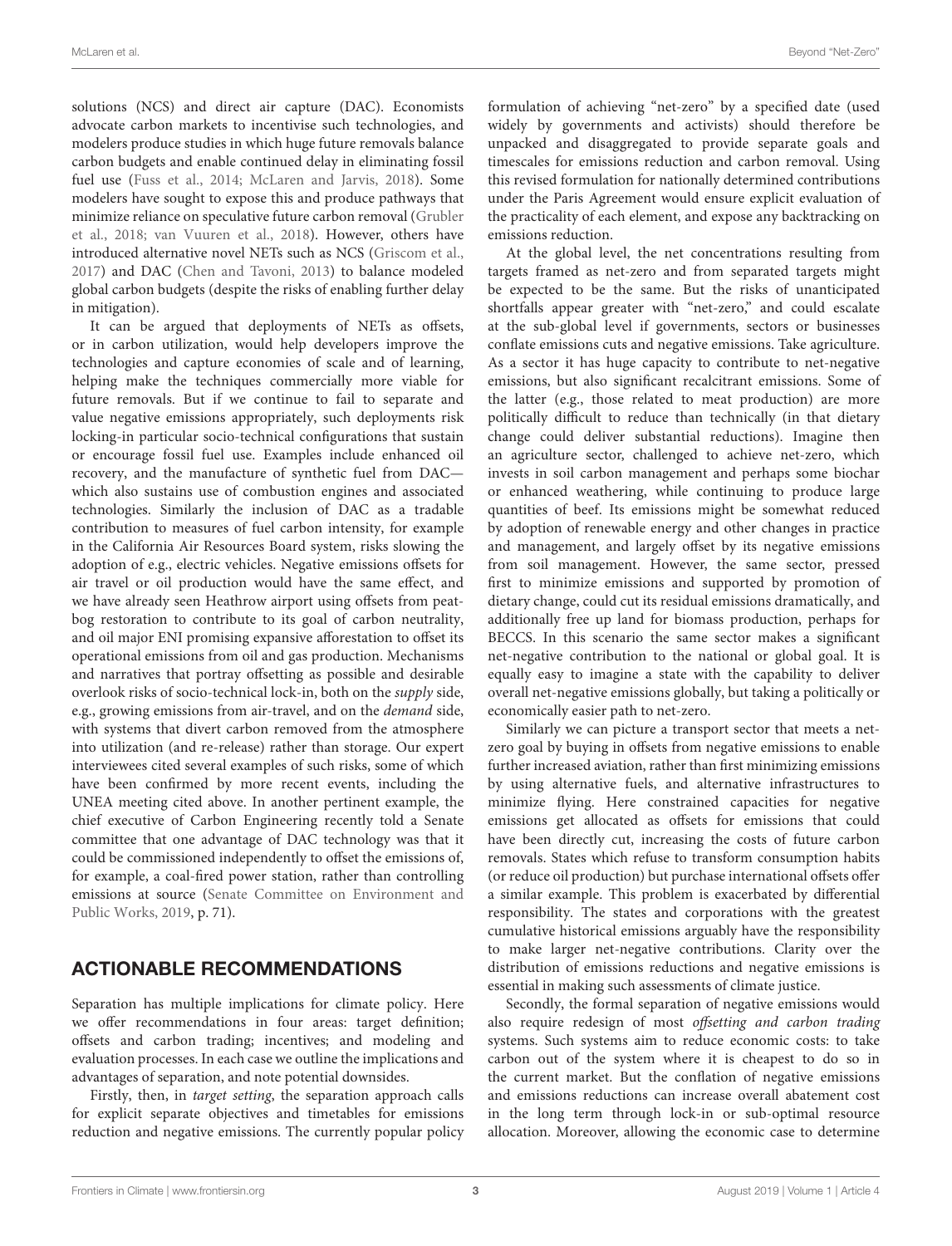solutions (NCS) and direct air capture (DAC). Economists advocate carbon markets to incentivise such technologies, and modelers produce studies in which huge future removals balance carbon budgets and enable continued delay in eliminating fossil fuel use [\(Fuss et al., 2014;](#page-4-1) [McLaren and Jarvis, 2018\)](#page-4-3). Some modelers have sought to expose this and produce pathways that minimize reliance on speculative future carbon removal (Grubler et al., [2018;](#page-4-10) [van Vuuren et al., 2018\)](#page-4-11). However, others have introduced alternative novel NETs such as NCS [\(Griscom et al.,](#page-4-12) [2017\)](#page-4-12) and DAC [\(Chen and Tavoni, 2013\)](#page-4-13) to balance modeled global carbon budgets (despite the risks of enabling further delay in mitigation).

It can be argued that deployments of NETs as offsets, or in carbon utilization, would help developers improve the technologies and capture economies of scale and of learning, helping make the techniques commercially more viable for future removals. But if we continue to fail to separate and value negative emissions appropriately, such deployments risk locking-in particular socio-technical configurations that sustain or encourage fossil fuel use. Examples include enhanced oil recovery, and the manufacture of synthetic fuel from DAC which also sustains use of combustion engines and associated technologies. Similarly the inclusion of DAC as a tradable contribution to measures of fuel carbon intensity, for example in the California Air Resources Board system, risks slowing the adoption of e.g., electric vehicles. Negative emissions offsets for air travel or oil production would have the same effect, and we have already seen Heathrow airport using offsets from peatbog restoration to contribute to its goal of carbon neutrality, and oil major ENI promising expansive afforestation to offset its operational emissions from oil and gas production. Mechanisms and narratives that portray offsetting as possible and desirable overlook risks of socio-technical lock-in, both on the supply side, e.g., growing emissions from air-travel, and on the demand side, with systems that divert carbon removed from the atmosphere into utilization (and re-release) rather than storage. Our expert interviewees cited several examples of such risks, some of which have been confirmed by more recent events, including the UNEA meeting cited above. In another pertinent example, the chief executive of Carbon Engineering recently told a Senate committee that one advantage of DAC technology was that it could be commissioned independently to offset the emissions of, for example, a coal-fired power station, rather than controlling emissions at source (Senate Committee on Environment and Public Works, [2019,](#page-4-14) p. 71).

## ACTIONABLE RECOMMENDATIONS

Separation has multiple implications for climate policy. Here we offer recommendations in four areas: target definition; offsets and carbon trading; incentives; and modeling and evaluation processes. In each case we outline the implications and advantages of separation, and note potential downsides.

Firstly, then, in target setting, the separation approach calls for explicit separate objectives and timetables for emissions reduction and negative emissions. The currently popular policy formulation of achieving "net-zero" by a specified date (used widely by governments and activists) should therefore be unpacked and disaggregated to provide separate goals and timescales for emissions reduction and carbon removal. Using this revised formulation for nationally determined contributions under the Paris Agreement would ensure explicit evaluation of the practicality of each element, and expose any backtracking on emissions reduction.

At the global level, the net concentrations resulting from targets framed as net-zero and from separated targets might be expected to be the same. But the risks of unanticipated shortfalls appear greater with "net-zero," and could escalate at the sub-global level if governments, sectors or businesses conflate emissions cuts and negative emissions. Take agriculture. As a sector it has huge capacity to contribute to net-negative emissions, but also significant recalcitrant emissions. Some of the latter (e.g., those related to meat production) are more politically difficult to reduce than technically (in that dietary change could deliver substantial reductions). Imagine then an agriculture sector, challenged to achieve net-zero, which invests in soil carbon management and perhaps some biochar or enhanced weathering, while continuing to produce large quantities of beef. Its emissions might be somewhat reduced by adoption of renewable energy and other changes in practice and management, and largely offset by its negative emissions from soil management. However, the same sector, pressed first to minimize emissions and supported by promotion of dietary change, could cut its residual emissions dramatically, and additionally free up land for biomass production, perhaps for BECCS. In this scenario the same sector makes a significant net-negative contribution to the national or global goal. It is equally easy to imagine a state with the capability to deliver overall net-negative emissions globally, but taking a politically or economically easier path to net-zero.

Similarly we can picture a transport sector that meets a netzero goal by buying in offsets from negative emissions to enable further increased aviation, rather than first minimizing emissions by using alternative fuels, and alternative infrastructures to minimize flying. Here constrained capacities for negative emissions get allocated as offsets for emissions that could have been directly cut, increasing the costs of future carbon removals. States which refuse to transform consumption habits (or reduce oil production) but purchase international offsets offer a similar example. This problem is exacerbated by differential responsibility. The states and corporations with the greatest cumulative historical emissions arguably have the responsibility to make larger net-negative contributions. Clarity over the distribution of emissions reductions and negative emissions is essential in making such assessments of climate justice.

Secondly, the formal separation of negative emissions would also require redesign of most offsetting and carbon trading systems. Such systems aim to reduce economic costs: to take carbon out of the system where it is cheapest to do so in the current market. But the conflation of negative emissions and emissions reductions can increase overall abatement cost in the long term through lock-in or sub-optimal resource allocation. Moreover, allowing the economic case to determine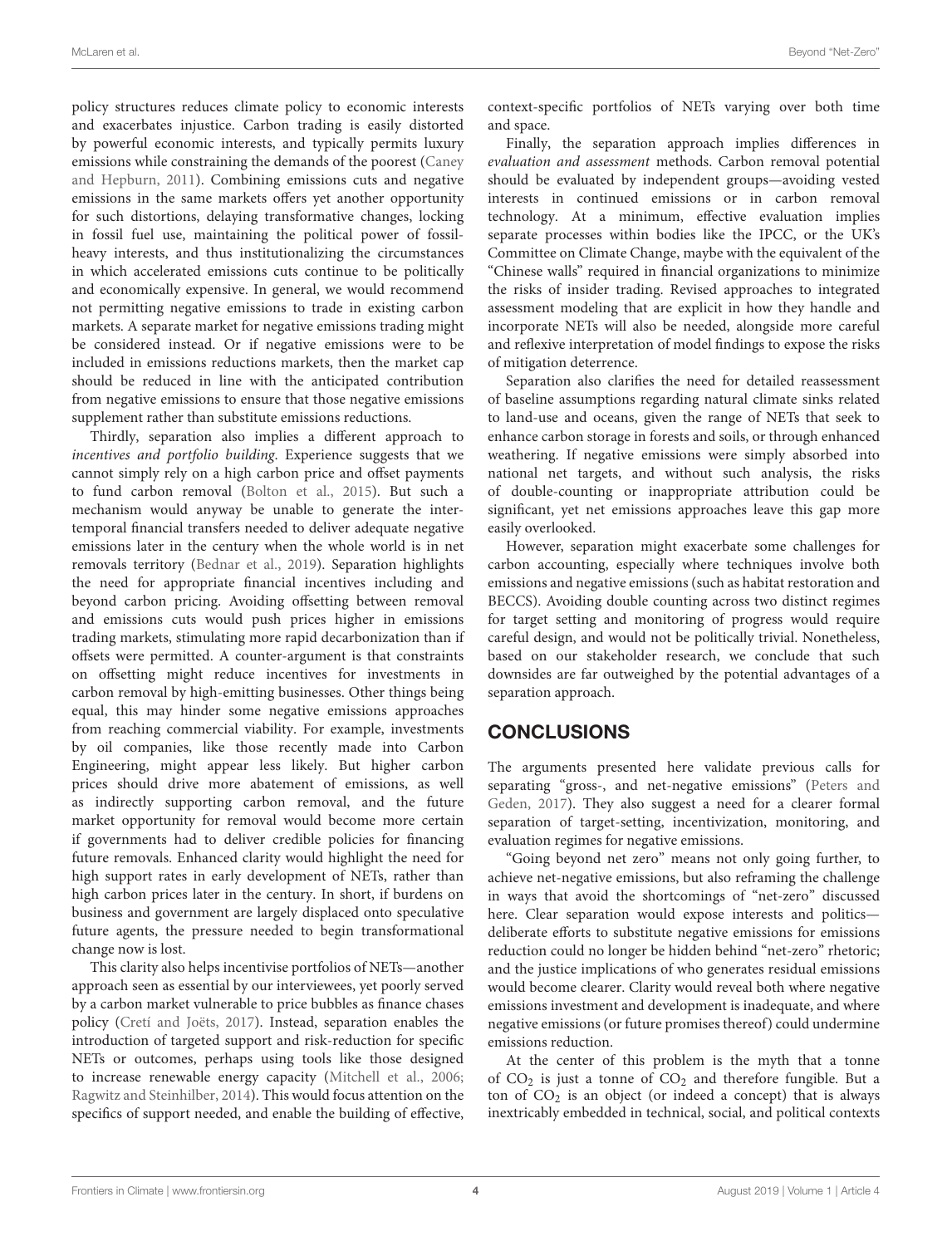policy structures reduces climate policy to economic interests and exacerbates injustice. Carbon trading is easily distorted by powerful economic interests, and typically permits luxury emissions while constraining the demands of the poorest (Caney and Hepburn, [2011\)](#page-4-15). Combining emissions cuts and negative emissions in the same markets offers yet another opportunity for such distortions, delaying transformative changes, locking in fossil fuel use, maintaining the political power of fossilheavy interests, and thus institutionalizing the circumstances in which accelerated emissions cuts continue to be politically and economically expensive. In general, we would recommend not permitting negative emissions to trade in existing carbon markets. A separate market for negative emissions trading might be considered instead. Or if negative emissions were to be included in emissions reductions markets, then the market cap should be reduced in line with the anticipated contribution from negative emissions to ensure that those negative emissions supplement rather than substitute emissions reductions.

Thirdly, separation also implies a different approach to incentives and portfolio building. Experience suggests that we cannot simply rely on a high carbon price and offset payments to fund carbon removal [\(Bolton et al., 2015\)](#page-4-16). But such a mechanism would anyway be unable to generate the intertemporal financial transfers needed to deliver adequate negative emissions later in the century when the whole world is in net removals territory [\(Bednar et al., 2019\)](#page-4-6). Separation highlights the need for appropriate financial incentives including and beyond carbon pricing. Avoiding offsetting between removal and emissions cuts would push prices higher in emissions trading markets, stimulating more rapid decarbonization than if offsets were permitted. A counter-argument is that constraints on offsetting might reduce incentives for investments in carbon removal by high-emitting businesses. Other things being equal, this may hinder some negative emissions approaches from reaching commercial viability. For example, investments by oil companies, like those recently made into Carbon Engineering, might appear less likely. But higher carbon prices should drive more abatement of emissions, as well as indirectly supporting carbon removal, and the future market opportunity for removal would become more certain if governments had to deliver credible policies for financing future removals. Enhanced clarity would highlight the need for high support rates in early development of NETs, rather than high carbon prices later in the century. In short, if burdens on business and government are largely displaced onto speculative future agents, the pressure needed to begin transformational change now is lost.

This clarity also helps incentivise portfolios of NETs—another approach seen as essential by our interviewees, yet poorly served by a carbon market vulnerable to price bubbles as finance chases policy [\(Cretí and Joëts, 2017\)](#page-4-17). Instead, separation enables the introduction of targeted support and risk-reduction for specific NETs or outcomes, perhaps using tools like those designed to increase renewable energy capacity [\(Mitchell et al., 2006;](#page-4-18) [Ragwitz and Steinhilber, 2014\)](#page-4-19). This would focus attention on the specifics of support needed, and enable the building of effective, context-specific portfolios of NETs varying over both time and space.

Finally, the separation approach implies differences in evaluation and assessment methods. Carbon removal potential should be evaluated by independent groups—avoiding vested interests in continued emissions or in carbon removal technology. At a minimum, effective evaluation implies separate processes within bodies like the IPCC, or the UK's Committee on Climate Change, maybe with the equivalent of the "Chinese walls" required in financial organizations to minimize the risks of insider trading. Revised approaches to integrated assessment modeling that are explicit in how they handle and incorporate NETs will also be needed, alongside more careful and reflexive interpretation of model findings to expose the risks of mitigation deterrence.

Separation also clarifies the need for detailed reassessment of baseline assumptions regarding natural climate sinks related to land-use and oceans, given the range of NETs that seek to enhance carbon storage in forests and soils, or through enhanced weathering. If negative emissions were simply absorbed into national net targets, and without such analysis, the risks of double-counting or inappropriate attribution could be significant, yet net emissions approaches leave this gap more easily overlooked.

However, separation might exacerbate some challenges for carbon accounting, especially where techniques involve both emissions and negative emissions (such as habitat restoration and BECCS). Avoiding double counting across two distinct regimes for target setting and monitoring of progress would require careful design, and would not be politically trivial. Nonetheless, based on our stakeholder research, we conclude that such downsides are far outweighed by the potential advantages of a separation approach.

## **CONCLUSIONS**

The arguments presented here validate previous calls for separating "gross-, and net-negative emissions" (Peters and Geden, [2017\)](#page-4-5). They also suggest a need for a clearer formal separation of target-setting, incentivization, monitoring, and evaluation regimes for negative emissions.

"Going beyond net zero" means not only going further, to achieve net-negative emissions, but also reframing the challenge in ways that avoid the shortcomings of "net-zero" discussed here. Clear separation would expose interests and politics deliberate efforts to substitute negative emissions for emissions reduction could no longer be hidden behind "net-zero" rhetoric; and the justice implications of who generates residual emissions would become clearer. Clarity would reveal both where negative emissions investment and development is inadequate, and where negative emissions (or future promises thereof) could undermine emissions reduction.

At the center of this problem is the myth that a tonne of  $CO<sub>2</sub>$  is just a tonne of  $CO<sub>2</sub>$  and therefore fungible. But a ton of  $CO<sub>2</sub>$  is an object (or indeed a concept) that is always inextricably embedded in technical, social, and political contexts